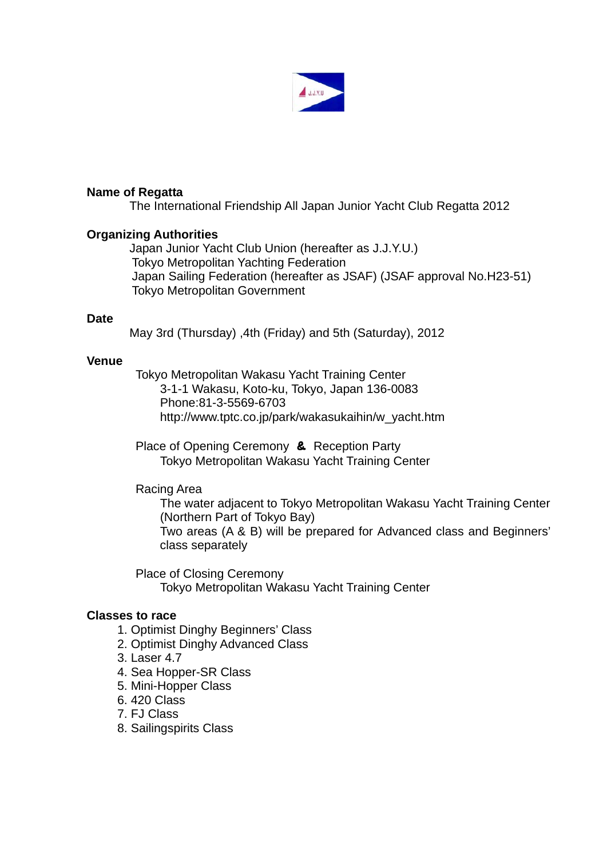

### **Name of Regatta**

The International Friendship All Japan Junior Yacht Club Regatta 2012

### **Organizing Authorities**

Japan Junior Yacht Club Union (hereafter as J.J.Y.U.) Tokyo Metropolitan Yachting Federation Japan Sailing Federation (hereafter as JSAF) (JSAF approval No.H23-51) Tokyo Metropolitan Government

### **Date**

May 3rd (Thursday) ,4th (Friday) and 5th (Saturday), 2012

### **Venue**

 Tokyo Metropolitan Wakasu Yacht Training Center 3-1-1 Wakasu, Koto-ku, Tokyo, Japan 136-0083 Phone:81-3-5569-6703 http://www.tptc.co.jp/park/wakasukaihin/w\_yacht.htm

Place of Opening Ceremony & Reception Party Tokyo Metropolitan Wakasu Yacht Training Center

## Racing Area

 The water adjacent to Tokyo Metropolitan Wakasu Yacht Training Center (Northern Part of Tokyo Bay)

 Two areas (A & B) will be prepared for Advanced class and Beginners' class separately

Place of Closing Ceremony Tokyo Metropolitan Wakasu Yacht Training Center

### **Classes to race**

- 1. Optimist Dinghy Beginners' Class
- 2. Optimist Dinghy Advanced Class
- 3. Laser 4.7
- 4. Sea Hopper-SR Class
- 5. Mini-Hopper Class
- 6. 420 Class
- 7. FJ Class
- 8. Sailingspirits Class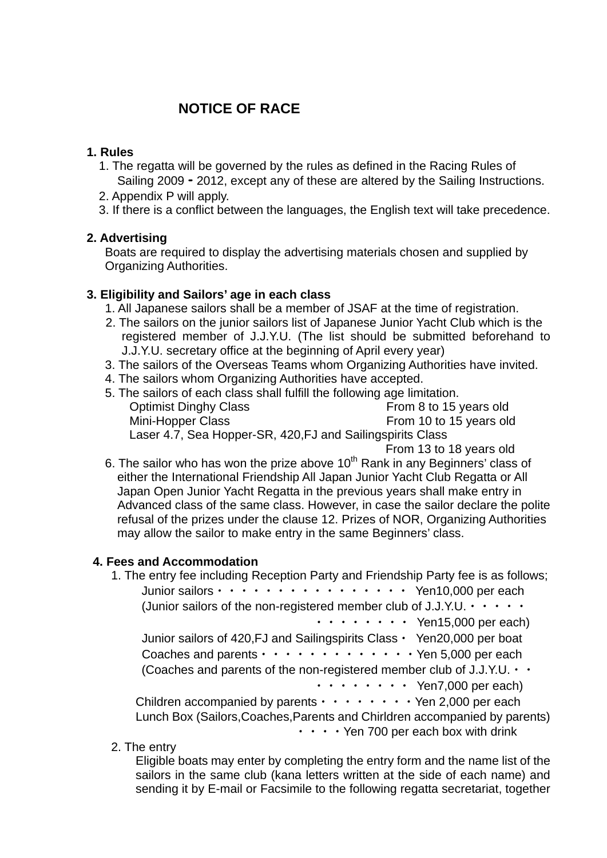# **NOTICE OF RACE**

### **1. Rules**

- 1. The regatta will be governed by the rules as defined in the Racing Rules of Sailing 2009 - 2012, except any of these are altered by the Sailing Instructions.
- 2. Appendix P will apply.
- 3. If there is a conflict between the languages, the English text will take precedence.

### **2. Advertising**

Boats are required to display the advertising materials chosen and supplied by Organizing Authorities.

### **3. Eligibility and Sailors' age in each class**

1. All Japanese sailors shall be a member of JSAF at the time of registration.

- 2. The sailors on the junior sailors list of Japanese Junior Yacht Club which is the registered member of J.J.Y.U. (The list should be submitted beforehand to J.J.Y.U. secretary office at the beginning of April every year)
- 3. The sailors of the Overseas Teams whom Organizing Authorities have invited.
- 4. The sailors whom Organizing Authorities have accepted.
- 5. The sailors of each class shall fulfill the following age limitation. Optimist Dinghy Class From 8 to 15 years old Mini-Hopper Class From 10 to 15 years old Laser 4.7, Sea Hopper-SR, 420,FJ and Sailingspirits Class From 13 to 18 years old
- 6. The sailor who has won the prize above  $10<sup>th</sup>$  Rank in any Beginners' class of either the International Friendship All Japan Junior Yacht Club Regatta or All Japan Open Junior Yacht Regatta in the previous years shall make entry in Advanced class of the same class. However, in case the sailor declare the polite refusal of the prizes under the clause 12. Prizes of NOR, Organizing Authorities may allow the sailor to make entry in the same Beginners' class.

### **4. Fees and Accommodation**

- 1. The entry fee including Reception Party and Friendship Party fee is as follows; Junior sailors・・・・・・・・・・・・・・・・ Yen10,000 per each (Junior sailors of the non-registered member club of J.J.Y.U.  $\cdots$ ・・・・・・・・ Yen15,000 per each) Junior sailors of 420, FJ and Sailingspirits Class · Yen 20,000 per boat Coaches and parents  $\cdots \cdots \cdots \cdots \cdots \cdots$  Yen 5,000 per each (Coaches and parents of the non-registered member club of J.J.Y.U.  $\cdot \cdot$  ・・・・・・・・ Yen7,000 per each) Children accompanied by parents  $\cdots \cdots \cdots$  Yen 2,000 per each Lunch Box (Sailors,Coaches,Parents and Chirldren accompanied by parents) **···· Yen 700 per each box with drink**
- 2. The entry

 Eligible boats may enter by completing the entry form and the name list of the sailors in the same club (kana letters written at the side of each name) and sending it by E-mail or Facsimile to the following regatta secretariat, together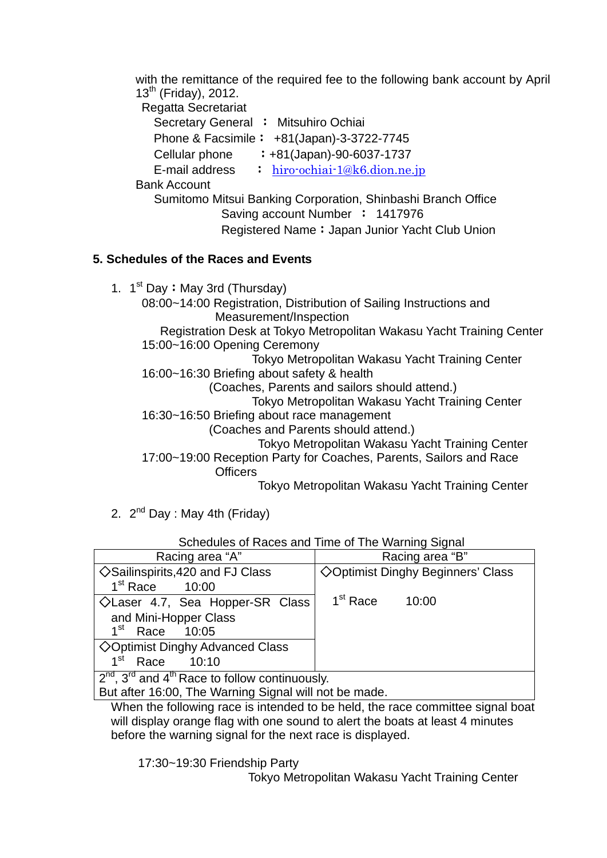with the remittance of the required fee to the following bank account by April  $13<sup>th</sup>$  (Friday), 2012.

Regatta Secretariat

Secretary General : Mitsuhiro Ochiai

Phone & Facsimile: +81(Japan)-3-3722-7745

Cellular phone  $\qquad$  :  $+81$ (Japan)-90-6037-1737

E-mail address  $\therefore$  [hiro-ochiai-1@k6.dion.ne.jp](mailto:hiro-ochiai-1@k6.dion.ne.jp)

Bank Account

 Sumitomo Mitsui Banking Corporation, Shinbashi Branch Office Saving account Number : 1417976 Registered Name: Japan Junior Yacht Club Union

## **5. Schedules of the Races and Events**

1.  $1^{st}$  Day: May 3rd (Thursday)

08:00~14:00 Registration, Distribution of Sailing Instructions and Measurement/Inspection

Registration Desk at Tokyo Metropolitan Wakasu Yacht Training Center 15:00~16:00 Opening Ceremony

Tokyo Metropolitan Wakasu Yacht Training Center 16:00~16:30 Briefing about safety & health

(Coaches, Parents and sailors should attend.)

Tokyo Metropolitan Wakasu Yacht Training Center

16:30~16:50 Briefing about race management

(Coaches and Parents should attend.)

Tokyo Metropolitan Wakasu Yacht Training Center

 17:00~19:00 Reception Party for Coaches, Parents, Sailors and Race **Officers** 

Tokyo Metropolitan Wakasu Yacht Training Center

2.  $2^{nd}$  Day : May 4th (Friday)

| <u>UCHCQUICS OF INACCS AND THIS OF THE VYANIMING ORIGIN</u> |                                    |  |
|-------------------------------------------------------------|------------------------------------|--|
| Racing area "A"                                             | Racing area "B"                    |  |
| $\Diamond$ Sailinspirits, 420 and FJ Class                  | ◇ Optimist Dinghy Beginners' Class |  |
| $1st$ Race<br>10:00                                         |                                    |  |
| $\Diamond$ Laser 4.7, Sea Hopper-SR Class                   | 1 <sup>st</sup> Race<br>10:00      |  |
| and Mini-Hopper Class                                       |                                    |  |
| 1 <sup>st</sup><br>Race 10:05                               |                                    |  |
| $\Diamond$ Optimist Dinghy Advanced Class                   |                                    |  |
| 1 <sup>st</sup><br>Race<br>10:10                            |                                    |  |
| $2nd$ , $3rd$ and $4th$ Race to follow continuously.        |                                    |  |
| But after 16:00, The Warning Signal will not be made.       |                                    |  |

Schedules of Races and Time of The Warning Signal

When the following race is intended to be held, the race committee signal boat will display orange flag with one sound to alert the boats at least 4 minutes before the warning signal for the next race is displayed.

17:30~19:30 Friendship Party

Tokyo Metropolitan Wakasu Yacht Training Center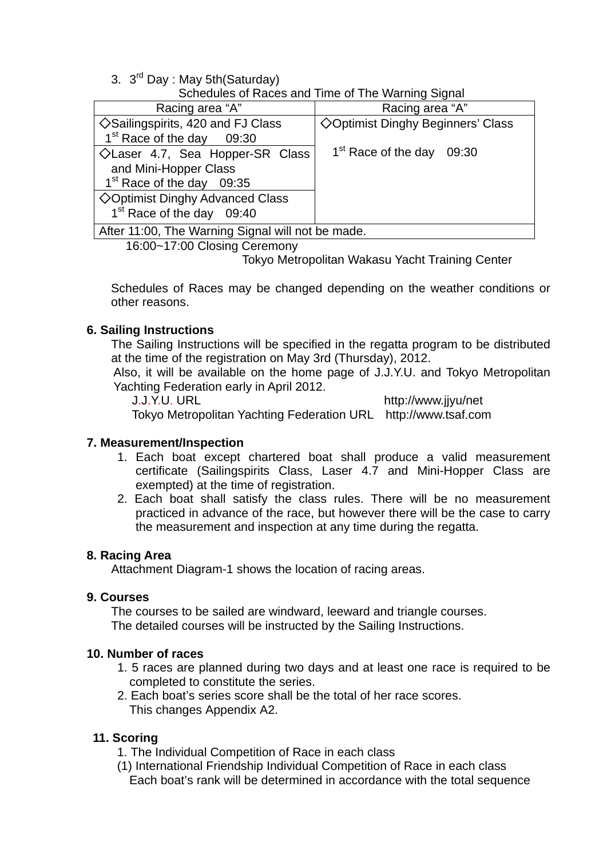3. 3<sup>rd</sup> Day : May 5th (Saturday)

Schedules of Races and Time of The Warning Signal

| Racing area "A"                                   | Racing area "A"                          |  |
|---------------------------------------------------|------------------------------------------|--|
| $\Diamond$ Sailingspirits, 420 and FJ Class       | <b>◇Optimist Dinghy Beginners' Class</b> |  |
| 1 <sup>st</sup> Race of the day 09:30             |                                          |  |
| $\Diamond$ Laser 4.7, Sea Hopper-SR Class         | 1 <sup>st</sup> Race of the day 09:30    |  |
| and Mini-Hopper Class                             |                                          |  |
| 1 <sup>st</sup> Race of the day 09:35             |                                          |  |
| <b>◇Optimist Dinghy Advanced Class</b>            |                                          |  |
| 1 <sup>st</sup> Race of the day 09:40             |                                          |  |
| After 11:00, The Warning Signal will not be made. |                                          |  |

16:00~17:00 Closing Ceremony

Tokyo Metropolitan Wakasu Yacht Training Center

Schedules of Races may be changed depending on the weather conditions or other reasons.

## **6. Sailing Instructions**

The Sailing Instructions will be specified in the regatta program to be distributed at the time of the registration on May 3rd (Thursday), 2012.

Also, it will be available on the home page of J.J.Y.U. and Tokyo Metropolitan Yachting Federation early in April 2012.

 J.J.Y.U. URL http://www.jjyu/net Tokyo Metropolitan Yachting Federation URL http://www.tsaf.com

### **7. Measurement/Inspection**

- 1. Each boat except chartered boat shall produce a valid measurement certificate (Sailingspirits Class, Laser 4.7 and Mini-Hopper Class are exempted) at the time of registration.
- 2. Each boat shall satisfy the class rules. There will be no measurement practiced in advance of the race, but however there will be the case to carry the measurement and inspection at any time during the regatta.

### **8. Racing Area**

Attachment Diagram-1 shows the location of racing areas.

### **9. Courses**

The courses to be sailed are windward, leeward and triangle courses. The detailed courses will be instructed by the Sailing Instructions.

### **10. Number of races**

- 1. 5 races are planned during two days and at least one race is required to be completed to constitute the series.
- 2. Each boat's series score shall be the total of her race scores. This changes Appendix A2.

### **11. Scoring**

1. The Individual Competition of Race in each class

(1) International Friendship Individual Competition of Race in each class Each boat's rank will be determined in accordance with the total sequence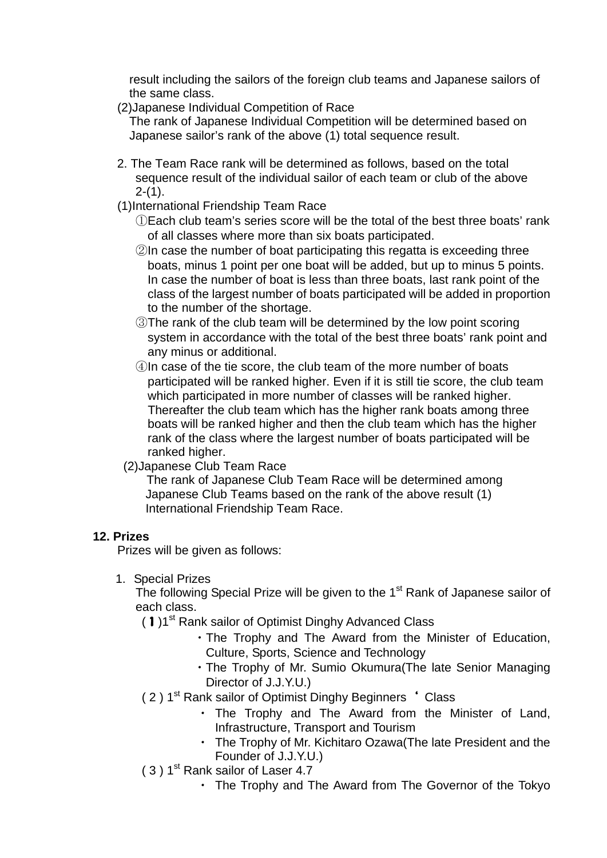result including the sailors of the foreign club teams and Japanese sailors of the same class.

(2)Japanese Individual Competition of Race

 The rank of Japanese Individual Competition will be determined based on Japanese sailor's rank of the above (1) total sequence result.

- 2. The Team Race rank will be determined as follows, based on the total sequence result of the individual sailor of each team or club of the above  $2-(1)$ .
- (1)International Friendship Team Race

①Each club team's series score will be the total of the best three boats' rank of all classes where more than six boats participated.

- ②In case the number of boat participating this regatta is exceeding three boats, minus 1 point per one boat will be added, but up to minus 5 points. In case the number of boat is less than three boats, last rank point of the class of the largest number of boats participated will be added in proportion to the number of the shortage.
- ③The rank of the club team will be determined by the low point scoring system in accordance with the total of the best three boats' rank point and any minus or additional.
- ④In case of the tie score, the club team of the more number of boats participated will be ranked higher. Even if it is still tie score, the club team which participated in more number of classes will be ranked higher. Thereafter the club team which has the higher rank boats among three boats will be ranked higher and then the club team which has the higher rank of the class where the largest number of boats participated will be ranked higher.
- (2)Japanese Club Team Race

 The rank of Japanese Club Team Race will be determined among Japanese Club Teams based on the rank of the above result (1) International Friendship Team Race.

## **12. Prizes**

Prizes will be given as follows:

1. Special Prizes

The following Special Prize will be given to the 1<sup>st</sup> Rank of Japanese sailor of each class.

- (1)1<sup>st</sup> Rank sailor of Optimist Dinghy Advanced Class
	- ・The Trophy and The Award from the Minister of Education, Culture, Sports, Science and Technology
	- ・The Trophy of Mr. Sumio Okumura(The late Senior Managing Director of J.J.Y.U.)
- (2) 1<sup>st</sup> Rank sailor of Optimist Dinghy Beginners ' Class
	- ・ The Trophy and The Award from the Minister of Land, Infrastructure, Transport and Tourism
	- ・ The Trophy of Mr. Kichitaro Ozawa(The late President and the Founder of J.J.Y.U.)
- $(3)$  1<sup>st</sup> Rank sailor of Laser 4.7
	- ・ The Trophy and The Award from The Governor of the Tokyo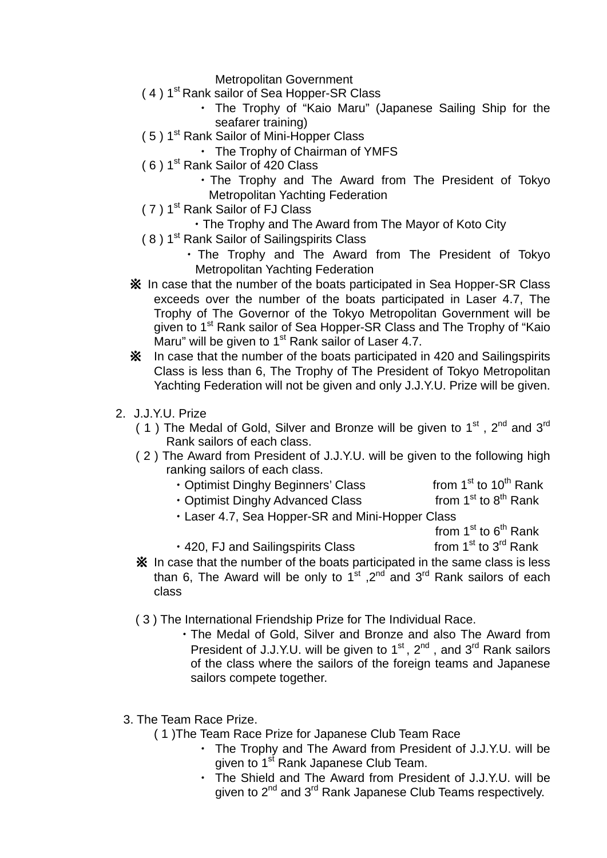Metropolitan Government

- (4) 1<sup>st</sup> Rank sailor of Sea Hopper-SR Class
	- ・ The Trophy of "Kaio Maru" (Japanese Sailing Ship for the seafarer training)
- (5) 1<sup>st</sup> Rank Sailor of Mini-Hopper Class
	- ・ The Trophy of Chairman of YMFS
- ( 6 ) 1st Rank Sailor of 420 Class
	- ・The Trophy and The Award from The President of Tokyo Metropolitan Yachting Federation
- ( 7 ) 1st Rank Sailor of FJ Class
	- ・The Trophy and The Award from The Mayor of Koto City
- (8) 1<sup>st</sup> Rank Sailor of Sailingspirits Class
	- ・ The Trophy and The Award from The President of Tokyo Metropolitan Yachting Federation
- ※ In case that the number of the boats participated in Sea Hopper-SR Class exceeds over the number of the boats participated in Laser 4.7, The Trophy of The Governor of the Tokyo Metropolitan Government will be given to 1<sup>st</sup> Rank sailor of Sea Hopper-SR Class and The Trophy of "Kaio Maru" will be given to  $1<sup>st</sup>$  Rank sailor of Laser 4.7.
- ※ In case that the number of the boats participated in 420 and Sailingspirits Class is less than 6, The Trophy of The President of Tokyo Metropolitan Yachting Federation will not be given and only J.J.Y.U. Prize will be given.
- 2. J.J.Y.U. Prize
	- ( 1) The Medal of Gold, Silver and Bronze will be given to  $1<sup>st</sup>$ .  $2<sup>nd</sup>$  and  $3<sup>rd</sup>$ Rank sailors of each class.
	- ( 2 ) The Award from President of J.J.Y.U. will be given to the following high ranking sailors of each class.
		- Optimist Dinghy Beginners' Class from 1<sup>st</sup> to 10<sup>th</sup> Rank<br>• Optimist Dinghy Advanced Class from 1<sup>st</sup> to 8<sup>th</sup> Rank
		- $\cdot$  Optimist Dinghy Advanced Class
		- ・Laser 4.7, Sea Hopper-SR and Mini-Hopper Class
			- from  $1^{st}$  to  $6^{th}$  Rank
	- 420, FJ and Sailingspirits Class from  $1<sup>st</sup>$  to  $3<sup>rd</sup>$  Rank ※ In case that the number of the boats participated in the same class is less than 6. The Award will be only to 1<sup>st</sup>  $.2<sup>nd</sup>$  and 3<sup>rd</sup> Rank sailors of each class
	- ( 3 ) The International Friendship Prize for The Individual Race.
		- ・The Medal of Gold, Silver and Bronze and also The Award from President of J.J.Y.U. will be given to 1<sup>st</sup>, 2<sup>nd</sup>, and 3<sup>rd</sup> Rank sailors of the class where the sailors of the foreign teams and Japanese sailors compete together.
	- 3. The Team Race Prize.
		- ( 1 )The Team Race Prize for Japanese Club Team Race
			- ・ The Trophy and The Award from President of J.J.Y.U. will be given to 1<sup>st</sup> Rank Japanese Club Team.
			- The Shield and The Award from President of J.J.Y.U. will be given to 2<sup>nd</sup> and 3<sup>rd</sup> Rank Japanese Club Teams respectively.